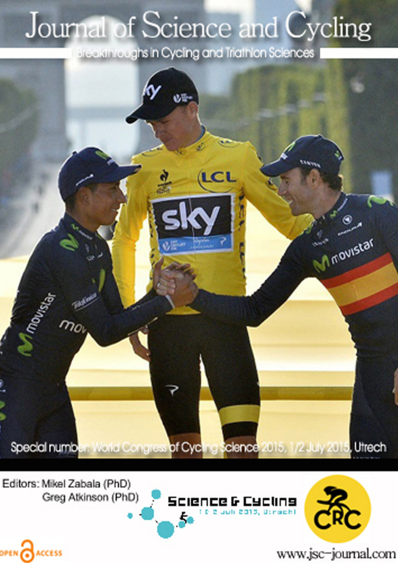## Journal of Science and Cycling

Breakthroughs in Cycling and Triathlon Sciences



Editors: Mikel Zabala (PhD) Greg Atkinson (PhD)

OPEN CACCESS





www.jsc-journal.com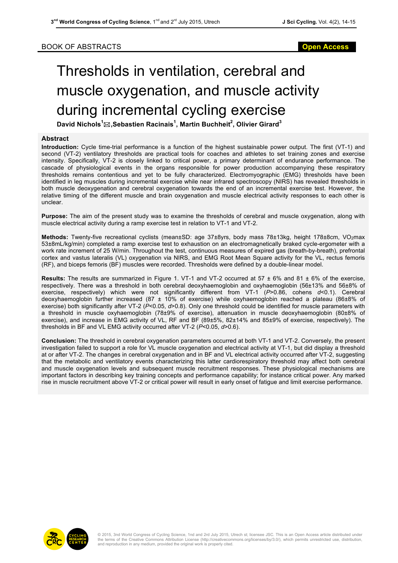## BOOK OF ABSTRACTS **Open Access**

## Thresholds in ventilation, cerebral and muscle oxygenation, and muscle activity during incremental cycling exercise

**David Nichols<sup>1</sup>** \***,Sebastien Racinais<sup>1</sup> , Martin Buchheit<sup>2</sup> , Olivier Girard<sup>3</sup>**

## **Abstract**

**Introduction:** Cycle time-trial performance is a function of the highest sustainable power output. The first (VT-1) and second (VT-2) ventilatory thresholds are practical tools for coaches and athletes to set training zones and exercise intensity. Specifically, VT-2 is closely linked to critical power, a primary determinant of endurance performance. The cascade of physiological events in the organs responsible for power production accompanying these respiratory thresholds remains contentious and yet to be fully characterized. Electromyographic (EMG) thresholds have been identified in leg muscles during incremental exercise while near infrared spectroscopy (NIRS) has revealed thresholds in both muscle deoxygenation and cerebral oxygenation towards the end of an incremental exercise test. However, the relative timing of the different muscle and brain oxygenation and muscle electrical activity responses to each other is unclear.

**Purpose:** The aim of the present study was to examine the thresholds of cerebral and muscle oxygenation, along with muscle electrical activity during a ramp exercise test in relation to VT-1 and VT-2.

Methods: Twenty-five recreational cyclists (mean±SD: age 37±8yrs, body mass 78±13kg, height 178±8cm, VO<sub>2</sub>max 53±8mL/kg/min) completed a ramp exercise test to exhaustion on an electromagnetically braked cycle-ergometer with a work rate increment of 25 W/min. Throughout the test, continuous measures of expired gas (breath-by-breath), prefrontal cortex and vastus lateralis (VL) oxygenation via NIRS, and EMG Root Mean Square activity for the VL, rectus femoris (RF), and biceps femoris (BF) muscles were recorded. Thresholds were defined by a double-linear model.

**Results:** The results are summarized in Figure 1. VT-1 and VT-2 occurred at 57 ± 6% and 81 ± 6% of the exercise, respectively. There was a threshold in both cerebral deoxyhaemoglobin and oxyhaemoglobin (56±13% and 56±8% of exercise, respectively) which were not significantly different from VT-1 (*P*>0.86, cohens *d*<0.1). Cerebral deoxyhaemoglobin further increased (87 ± 10% of exercise) while oxyhaemoglobin reached a plateau (86±8% of exercise) both significantly after VT-2 (*P*<0.05, *d*>0.8). Only one threshold could be identified for muscle parameters with a threshold in muscle oxyhaemoglobin (78±9% of exercise), attenuation in muscle deoxyhaemoglobin (80±8% of exercise), and increase in EMG activity of VL, RF and BF (89±5%, 82±14% and 85±9% of exercise, respectively). The thresholds in BF and VL EMG activity occurred after VT-2 (*P*<0.05, *d*>0.6).

**Conclusion:** The threshold in cerebral oxygenation parameters occurred at both VT-1 and VT-2. Conversely, the present investigation failed to support a role for VL muscle oxygenation and electrical activity at VT-1, but did display a threshold at or after VT-2. The changes in cerebral oxygenation and in BF and VL electrical activity occurred after VT-2, suggesting that the metabolic and ventilatory events characterizing this latter cardiorespiratory threshold may affect both cerebral and muscle oxygenation levels and subsequent muscle recruitment responses. These physiological mechanisms are important factors in describing key training concepts and performance capability; for instance critical power. Any marked rise in muscle recruitment above VT-2 or critical power will result in early onset of fatigue and limit exercise performance.